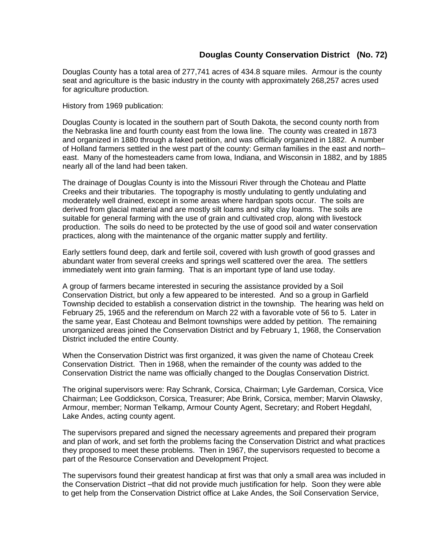## **Douglas County Conservation District (No. 72)**

Douglas County has a total area of 277,741 acres of 434.8 square miles. Armour is the county seat and agriculture is the basic industry in the county with approximately 268,257 acres used for agriculture production.

History from 1969 publication:

Douglas County is located in the southern part of South Dakota, the second county north from the Nebraska line and fourth county east from the Iowa line. The county was created in 1873 and organized in 1880 through a faked petition, and was officially organized in 1882. A number of Holland farmers settled in the west part of the county: German families in the east and north– east. Many of the homesteaders came from Iowa, Indiana, and Wisconsin in 1882, and by 1885 nearly all of the land had been taken.

The drainage of Douglas County is into the Missouri River through the Choteau and Platte Creeks and their tributaries. The topography is mostly undulating to gently undulating and moderately well drained, except in some areas where hardpan spots occur. The soils are derived from glacial material and are mostly silt loams and silty clay loams. The soils are suitable for general farming with the use of grain and cultivated crop, along with livestock production. The soils do need to be protected by the use of good soil and water conservation practices, along with the maintenance of the organic matter supply and fertility.

Early settlers found deep, dark and fertile soil, covered with lush growth of good grasses and abundant water from several creeks and springs well scattered over the area. The settlers immediately went into grain farming. That is an important type of land use today.

A group of farmers became interested in securing the assistance provided by a Soil Conservation District, but only a few appeared to be interested. And so a group in Garfield Township decided to establish a conservation district in the township. The hearing was held on February 25, 1965 and the referendum on March 22 with a favorable vote of 56 to 5. Later in the same year, East Choteau and Belmont townships were added by petition. The remaining unorganized areas joined the Conservation District and by February 1, 1968, the Conservation District included the entire County.

When the Conservation District was first organized, it was given the name of Choteau Creek Conservation District. Then in 1968, when the remainder of the county was added to the Conservation District the name was officially changed to the Douglas Conservation District.

The original supervisors were: Ray Schrank, Corsica, Chairman; Lyle Gardeman, Corsica, Vice Chairman; Lee Goddickson, Corsica, Treasurer; Abe Brink, Corsica, member; Marvin Olawsky, Armour, member; Norman Telkamp, Armour County Agent, Secretary; and Robert Hegdahl, Lake Andes, acting county agent.

The supervisors prepared and signed the necessary agreements and prepared their program and plan of work, and set forth the problems facing the Conservation District and what practices they proposed to meet these problems. Then in 1967, the supervisors requested to become a part of the Resource Conservation and Development Project.

The supervisors found their greatest handicap at first was that only a small area was included in the Conservation District –that did not provide much justification for help. Soon they were able to get help from the Conservation District office at Lake Andes, the Soil Conservation Service,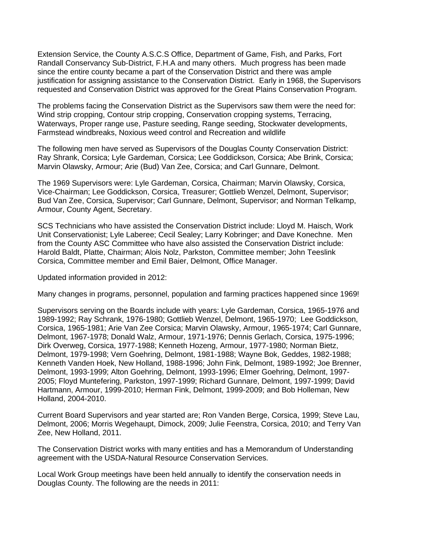Extension Service, the County A.S.C.S Office, Department of Game, Fish, and Parks, Fort Randall Conservancy Sub-District, F.H.A and many others. Much progress has been made since the entire county became a part of the Conservation District and there was ample justification for assigning assistance to the Conservation District. Early in 1968, the Supervisors requested and Conservation District was approved for the Great Plains Conservation Program.

The problems facing the Conservation District as the Supervisors saw them were the need for: Wind strip cropping, Contour strip cropping, Conservation cropping systems, Terracing, Waterways, Proper range use, Pasture seeding, Range seeding, Stockwater developments, Farmstead windbreaks, Noxious weed control and Recreation and wildlife

The following men have served as Supervisors of the Douglas County Conservation District: Ray Shrank, Corsica; Lyle Gardeman, Corsica; Lee Goddickson, Corsica; Abe Brink, Corsica; Marvin Olawsky, Armour; Arie (Bud) Van Zee, Corsica; and Carl Gunnare, Delmont.

The 1969 Supervisors were: Lyle Gardeman, Corsica, Chairman; Marvin Olawsky, Corsica, Vice-Chairman; Lee Goddickson, Corsica, Treasurer; Gottlieb Wenzel, Delmont, Supervisor; Bud Van Zee, Corsica, Supervisor; Carl Gunnare, Delmont, Supervisor; and Norman Telkamp, Armour, County Agent, Secretary.

SCS Technicians who have assisted the Conservation District include: Lloyd M. Haisch, Work Unit Conservationist; Lyle Laberee; Cecil Sealey; Larry Kobringer; and Dave Konechne. Men from the County ASC Committee who have also assisted the Conservation District include: Harold Baldt, Platte, Chairman; Alois Nolz, Parkston, Committee member; John Teeslink Corsica, Committee member and Emil Baier, Delmont, Office Manager.

Updated information provided in 2012:

Many changes in programs, personnel, population and farming practices happened since 1969!

Supervisors serving on the Boards include with years: Lyle Gardeman, Corsica, 1965-1976 and 1989-1992; Ray Schrank, 1976-1980; Gottlieb Wenzel, Delmont, 1965-1970; Lee Goddickson, Corsica, 1965-1981; Arie Van Zee Corsica; Marvin Olawsky, Armour, 1965-1974; Carl Gunnare, Delmont, 1967-1978; Donald Walz, Armour, 1971-1976; Dennis Gerlach, Corsica, 1975-1996; Dirk Overweg, Corsica, 1977-1988; Kenneth Hozeng, Armour, 1977-1980; Norman Bietz, Delmont, 1979-1998; Vern Goehring, Delmont, 1981-1988; Wayne Bok, Geddes, 1982-1988; Kenneth Vanden Hoek, New Holland, 1988-1996; John Fink, Delmont, 1989-1992; Joe Brenner, Delmont, 1993-1999; Alton Goehring, Delmont, 1993-1996; Elmer Goehring, Delmont, 1997- 2005; Floyd Muntefering, Parkston, 1997-1999; Richard Gunnare, Delmont, 1997-1999; David Hartmann, Armour, 1999-2010; Herman Fink, Delmont, 1999-2009; and Bob Holleman, New Holland, 2004-2010.

Current Board Supervisors and year started are; Ron Vanden Berge, Corsica, 1999; Steve Lau, Delmont, 2006; Morris Wegehaupt, Dimock, 2009; Julie Feenstra, Corsica, 2010; and Terry Van Zee, New Holland, 2011.

The Conservation District works with many entities and has a Memorandum of Understanding agreement with the USDA-Natural Resource Conservation Services.

Local Work Group meetings have been held annually to identify the conservation needs in Douglas County. The following are the needs in 2011: